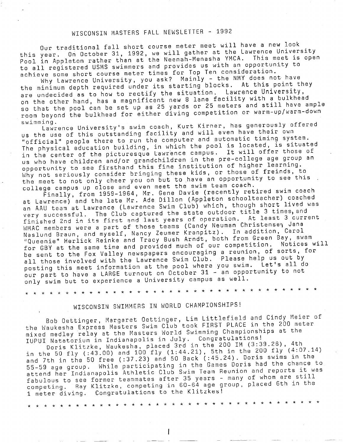## WISCONSIN MASTERS FALL NEWSLETTER - <sup>1992</sup>

Our traditional fall short course meter meet will have a new look this year. On October 31, 1992, we will gather at the Lawrence University Pool in Appleton rather than at the Neenah-Menasha YMCA. This meet is open to all registered USMS swimmers and provides us with an opportunity to achieve some short course mater times for Top Ten consideration.

Why Lawrence University, you ask? Mainly - the NMY does not have the minimum depth required under its starting blocks. At this point they are undecided as to how to rectify the situation. Lawrence University, on the other hand, has a magnificent new 8 lane facility with a bulkhead so that the pool can be set up as 25 yards or 25 meters and still have ample room beyond the bulkhead for either diving competition or warm-up/warm-down swimming.

Lawrence University's swim coach, Kurt Kirner, has generously offered us the use of this outstanding facility and will even have their own "official" people there to run the computer and automatic timing system. The physical education building, in which the pool is located, is situated in the center of the picturesque Lawrence campus. It will offer those of us who have children and/or grandchildren in the pre-college age group an opportunity to see firsthand this fine institution of higher learning. Why not seriously consider bringing these kids, or those of freinds, to the meet to not only cheer you on but to have an opportunity to see this college campus up close and even meet the swim team coach.

Finally, from 1959-1964, Mr. Gene Davie (recently retired swim coach at Lawrence) and the late Mr. Ade Dillon (Appleton schoolteacher) coached an AAU team at Lawrence (Lawrence Swim Club) which, though short lived was very successful. The Club captured the state outdoor title 3 times, and finished 2nd in its first and last years of operation. At least 3 current WMAC members were a part of those teams (Candy Neuman Christensen Jana Naslund Braun, and myself, Nancy Zeumer Kranpitz). In addition, Carol ' 1 Queenie" Herlick Reinke and Tracy Bush Arndt, both from Green Bay, swam Robert Referred Months and tracy seem here of our competition. Notices will be sent to the Fox Valley newspapers encouraging a reunion, of sorts, for all those involved with the Lawrence Swim Club. Please help us out by posting this meet information at the pool where you swim. Let's all do our part to have a LARGE turnout on October 31 - an opportunity to not only swim but to experience a University campus as well.

\* \* \* \* \* \* \* \* \* \* \* \* \* \* \* \* \* \* \* \* \* \* \* \* \* \* \* \* \* \* \* \* \* \* \* \* \*

## WISCONSIN SWIMMERS IN WORLD CHAMPIONSHIPS!

Bob Dettinger, Margaret Dettinger, Lim Littlefield and Cindy Meier of the Waukesha Express Masters Swim Club took FIRST PLACE in the 200 meter mixed medley relay at the Masters World Swimming Championships at the IUPUI Natatorium in Indianapolis in July. Congratulations!

Doris Klitzke, Waukesha, placed 3rd in the 200 IM (3:39.26), 4th in the 50 fly (:43.00) and 100 fly (1:44.21), 5th in the 200 fly (4:07.14) and 7th in the 50 free (:37.23) and 50 Back (:45.24). Doris swims in the 55-59 age group. While participating in the Games Doris had the chance to attend her Indianapolis Athletic Club Swim Team Reunion and reports it was fabulous to see former teammates after 35 years - many of whom are still competing. Ray Klitzke, competing in 60-64 age group, placed 6th in the <sup>1</sup>meter diving. Congratulations to the Klitzkes!

\* \* \* \* \* \* \* \* \* \* \* \* \* \* \* \* \* \* \* \* \* \* \* \* \* \* \* \* \* \* \* \* \* \* \* \* \*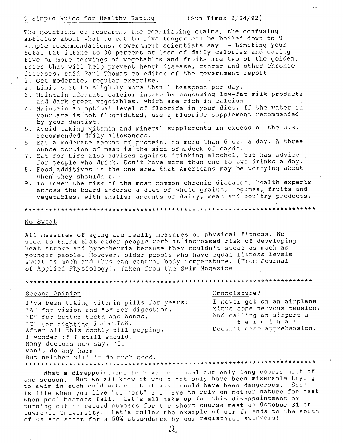The mountains of research, the conflicting claims, the confusing articles about what to eat to live longer can be boiled down to 9 simple recommendations, government scientists say. - Limiting your total fat intake to 30 percent or less of daily calories and eating five or more servings of vegetables and fruits are two of the golden. rules that will help prevent heart disease, cancer and other chronic diseases, said Paul Thomas co-editor of the government report.

1. Get moderate, requiar exercise.

- 2. Limit salt to slightly more than 1 teaspoon per day.
- 3. Maintain adequate calcium intake by consuming low-fat milk products and dark green vegetables, which are rich in calcium.
- 4. Maintain an optimal level of fluoride in your diet. If the water in your are is not fluoridated, use a fluoride supplement recommended by your dentist.
- 5. Avoid taking vitamin and mineral supplements in excess of the U.S. recommended daily allowances.
- 6: Eat a moderate amount of protein, no more than 6 oz. a day. A three ounce portion of meat is the size of a deck of cards.
- 7. Eat for Life also advises against drinking alcohol, but has advice for people who drink: Don't have more than one to two drinks a day.
- 8. Food additives is the one area that Americans may be worrying about when they shouldn't.
- 9. To lower the risk of the most common chronic diseases, health experts across the board endorse a diet of whole grains, legumes, fruits and vegetables, with smaller amounts of dairy, meat and poultry products.

### No Sweat

All measures of aging are really measures of physical fitness. We used to think that older people were at increased risk of developing heat stroke and hypothermia because they couldn't sweat as much as younger people. However, older people who have equal fitness levels sweat as much and thus can control body temperature. (From Journal of Applied Physiology). Taken from the Swim Magazine.

#### 

#### Second Opinion

I've been taking vitamin pills for years: "A" for vision and "B" for digestion, "D" for better teeth and bones, "C" for fighting infection. After all this costly pill-popping, I wonder if I still should. Many doctors now say, "It won't do any harm -But neither will it do much good. 

#### Omenclature?

I never get on an airplane Minus some nervous teusion, And calling an airport a terminal Doesn't ease apprehension.

What a disappointment to have to cancel our only long course meet of the season. But we all know it would not only have been miserable trying to swim in such cold water but it also could have been dangerous. Such is life when you live "up nort" and have to rely on mother nature for heat when pool heaters fail. Let's all make up for this disappointment by turning out in record numbers for the short course meet on October 31 at Lawrence University. Let's follow the example of our friends to the south of us and shoot for a 50% attendance by our registered swimmers!

 $\omega$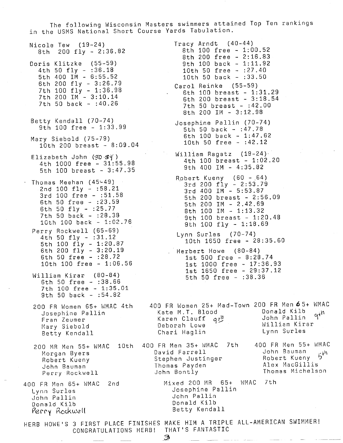The following Wisconsin Masters swimmers attained Top Ten rankings in the USMS National Short Course Yards Tabulation.

Nicole Tew (19-24) 8th 200 fly - 2:36.82 Doris Klitzke (55-59) 4th 50 fly - :36.18 5th 400 IM - 6:55.52 6th 200 fly - 3:26.79 7th 100 fly - 1:36.98 7th 200 IM - 3:10.14 7th 50 back - :40.26 Betty Kendall (70-74) 9th 100 free - 1:33.99 Mary Siebold (75-79) 10th 200 breast - 8:09.04 Elizabeth John (30-84) 4th 1000 free - 31:55.98 5th 100 breast - 3:47.35 Thomas Meehan (45~49) 2nd 100 fly - :58.21 3rd 100 free - :51.58 6th 50 free - :23.59 6th 50 fly - :25.77 7th 50 back - :28.38 1Cth 100 back - 1:02.76 Perry Rockwell (65-69) 4th 50 fly - :31.12 5th 100 fly - 1:20.87 6th 200 fly - 3:20.19 6th 50 free - :28.72 10th 100 free - 1:06.56 William Kirar (80-84) 6th 50 free - :38.66 7th 100 free - 1:35.01 9th 50 back - :54.82 200 FR Women 65+ WMAC 4th 400 FR Women 25+ Mad-Town 200 FR Men *6* 5+ viMAC Josephine Pallin Fran Zeumer Mary Siebold Betty Kendall 200 MR Men 55+ WMAC 10th 400 FR Men 35+ WMAC 7th 400 FR Men 55+ WMAC Morgan Byers Robert Kueny John Bauman Perry Rockwell 400 FR Men 65+ WMAC 2nd Lynn Surles John Pallin Donald Kilb Perry Hookwell Tracy Arndt (40-44) 8th 100 free - 1:00.52 8th 200 free - 2:16.83 9th 100 back - 1:11.92 10th 50 free - :27.40 10th 50 back - :33.50 Carol Reinke (55-59) 6th 100 breast - 1:31.29 6th 200 breast - 3:18.54 7th 50 breast - : 42.00 8th 200 IM - 3:12.98 Josephine Pallin (70-74) 5th 50 back - :47.78 6th 100 back - 1:47.62 10th 50 free - :42.12  $Wi11$ iam Ragatz (19-24) 4th 100 breast - 1:02.20 9th 400 IM - 4:35.82 Robert Kueny  $(60 - 64)$ 3rd 200 fly - 2:53.79 3rd 400 IM - 5:53.87 5th 200 breast - 2:56.09 5th 200 IM - 2.42.69 8th 100 IM - 1:13.32 9th 100 breast - 1:20.48 9th 100 fly - 1:18.69 Lynn Surles (70-74) 10th 1650 free - 28:35.60 Herbert Howe (80-84) 1st 500 free - 8:28.74 1st 1000 free - 17:36,93 1st 1650 free - 29:37.12 5th 50 free - :38.36 Kate M.T. Blood Karen Clauff q*t*" Deborah Lowe Chari Haglin David Farrell Stephen Justinger Thomas Payden John Bontly Don **a 1 d Ki** 1 b **,t\'1**  John Pallin **°i**  William Kirar Lynn Surles John Bauman ·•-th Robert Kueny (5 Alex MacGillis Thomas Michelson Mixed 200 MR 65+ WMAC 7th Josephine Pallin John Pallin Donald Kilb Betty Kendall

HERB HOWE'S 3 FIRST PLACE FINISHES MAKE HIM A TRIPLE ALL-AMERICAN SWIMMER! CONGRATULATIONS HERB! THAT'S FANTASTIC

 $\mathcal D$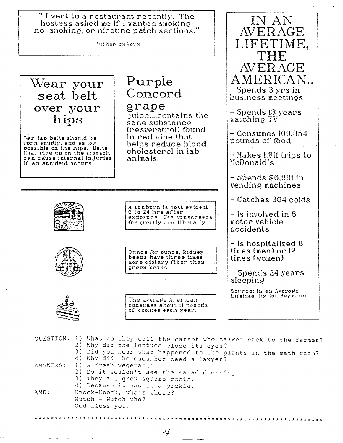"I went to a restaurant recently. The hostess asked me if I wanted smoking, no-smoking, or nicotine patch sections."

-Author unkown

Wear your seat belt over your hips

Car lap belts should be worn snugly, and as low<br>possible on the hips. Belts that ride up on the stomach can cause internal injuries if an accident occurs.

# Purple Concord

## grape

juice....contains the same substance (resveratrol) found in red wine that helps reduce bloodcholesterol in lab animals.

A sunburn is most evident 6 to 24 hrs after<br>exposure. Use sunscreens frequently and liberally.



Ounce for ounce, kidney beans have three times<br>more dietary fiber than green beans.

The average American consumes about 11 pounds of cookies each year.

 $\operatorname{AVERAGE}$ LIFETIME. AVERAGE AMERICAN.. - Spends 3 yrs in business meetinøs - Spends 13 years watching TV

IN AN

 $-$  Consumes 109,354  $\,$ pounds of food

- Makes 1,811 trips to McDonald's

 $-$  Spends  $$6,881$  in vending machines

– Catches 304 colds

 $-$  Is involved in  $6$ motor vehicle accidents

- Is hospitalized 8 times  $(men)$  or  $12$ times (women)

– Spends 24 years sleeping

Source: In an Average<br>Lifetime by Tom Heymann



QUESTION: 1) What do they call the carrot who talked back to the farmer? 2) Why did the lettuce close its eyes? 3) Did you hear what happened to the plants in the math room? 4) Why did the cucumber need a lawyer? 1) A fresh vegetable. ANSWERS: 2) So it wouldn't see the salad dressing. 3) They all grew square roots. 4) Because it was in a pickle. AND: Knock-Knock, who's there? Hutch - Hutch who? God bless you.

4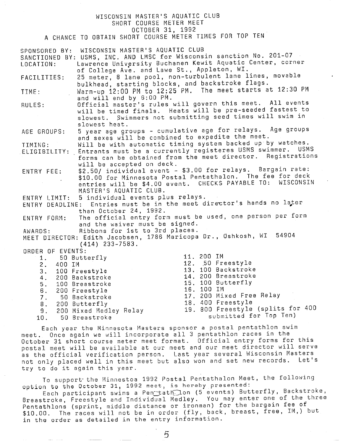### WISCONSIN MASTER'S AQUATIC CLUB SHORT COURSE METER MEET OCTOBER 31, 1992

<sup>A</sup>CHANCE TO OBTAIN SHORT COURSE METER TIMES FOR TOP TEN

|                     | SPONSORED BY: WISCONSIN MASTER'S AQUATIC CLUB    |                                                                         |
|---------------------|--------------------------------------------------|-------------------------------------------------------------------------|
|                     |                                                  | SANCTIONED BY: USMS, INC. AND LMSC for Wisconsin sanction No. 201-07    |
| LOCATION:           |                                                  | Lawrence University Buchanen Kewit Aquatic Center, corner               |
|                     | of College Ave. and Lawe St., Appleton, WI.      |                                                                         |
|                     |                                                  | 25 meter, 8 lane pool, non-turbulent lane lines, movable                |
| FACILITIES:         |                                                  |                                                                         |
|                     | bulkhead, starting blocks, and backstroke flags. |                                                                         |
| TIME:               |                                                  | Warm-up 12:00 PM to 12:25 PM. The meet starts at 12:30 PM               |
|                     | and will end by 6:00 PM.                         |                                                                         |
| RULES:              |                                                  | Official master's rules will govern this meet. All events               |
|                     |                                                  | will be timed finals. Heats will be pre-seeded fastest to               |
|                     |                                                  | slowest. Swimmers not submitting seed times will swim in                |
|                     | slowest heat.                                    |                                                                         |
| AGE GROUPS:         |                                                  | 5 year age groups - cumulative age for relays. Age groups               |
|                     | and sexes will be combined to expedite the meet. |                                                                         |
| TIMING:             |                                                  | Will be with automatic timing system backed up by watches.              |
|                     |                                                  | ELIGIBILITY: Entrants must be a currently registeres USMS swimmer. USMS |
|                     |                                                  | forms can be obtained from the meet director. Registrations             |
|                     | will be accepted on deck.                        |                                                                         |
|                     |                                                  | \$2.50/ individual event - \$3.00 for relays. Bargain rate:             |
| ENTRY FEE:          |                                                  | \$10.00 for Minnesota Postal Pentathalon. The fee for deck              |
|                     |                                                  | entries will be \$4.00 event. CHECKS PAYABLE TO: WISCONSIN              |
|                     |                                                  |                                                                         |
|                     | MASTER'S AQUATIC CLUB.                           |                                                                         |
|                     | ENTRY LIMIT: 5 individual events plus relays.    |                                                                         |
|                     |                                                  | ENTRY DEADLINE: Entries must be in the meet director's hands no later   |
|                     | than October 24, 1992.                           |                                                                         |
|                     |                                                  | ENTRY FORM: The official entry form must be used, one person per form   |
|                     | and the waiver must be signed.                   |                                                                         |
| AWARDS:             | Ribbons for 1st to 3rd places.                   |                                                                         |
|                     |                                                  | MEET DIRECTOR: Edith Jacobsen, 1786 Maricopa Dr., Oshkosh, WI 54904     |
|                     | $(414)$ 233-7583.                                |                                                                         |
| ORDER OF EVENTS:    |                                                  |                                                                         |
| 1. 50 Butterfly     |                                                  | 11. 200 IM                                                              |
| 2. 400 IM           |                                                  | 12. 50 Freestyle                                                        |
| 3. 100 Freestyle    |                                                  | 13. 100 Backstroke                                                      |
| 4. 200 Backstroke   |                                                  | 14. 200 Breastroke                                                      |
| 5. $100$ Breastroke |                                                  | 15. 100 Butterfly                                                       |
| 6. 200 Freestyle    |                                                  | 16. 100 IM                                                              |
| 7. 50 Backstroke    |                                                  | 17. 200 Mixed Free Relay                                                |
| 8. 200 Butterfly    |                                                  | 18. 400 Freestyle                                                       |
|                     | 9. 200 Mixed Medley Relay                        | 19. 800 Freestyle (splits for 400                                       |
|                     |                                                  | submitted for Top Ten)                                                  |
| 10.                 | 50 Breastroke                                    |                                                                         |

Each year the Minnesota Masters sponsor <sup>a</sup>postal pentathlon swim meet. Once again we will incorporate all 3 pentathlon races in the October 31 short course meter meet format. Official entry forms for this postal meet will be available at our meet and our meet director will serve as the official verification person. Last year several Wisconsin Masters not only placed well in this meet but also won and set new records. Let's try to do it again this year.

To support· the Minnestoa 1992 Postal Pentathalon Meet, the following option to the October 31, 1992 meet, is hereby presented:

Each participant swims a Pen\_tath\_lon (5 events) Butterfly, Backstroke, Breastroke, Freestyle and Individual Medley. You may enter one of the three Pentathlons (sprint, middle distance or ironman) for the bargain fee of \$10.00. The races will not be in order (fly, back, breast, free, IM,) but in the order as detailed in the entry information.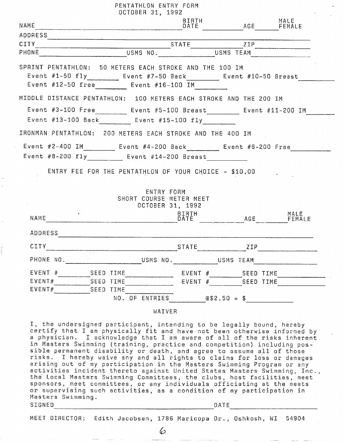|                                                                          | PENTATHLON ENTRY FORM<br>OCTOBER 31, 1992             |               |                   |                |
|--------------------------------------------------------------------------|-------------------------------------------------------|---------------|-------------------|----------------|
| NAME <sub>N</sub>                                                        |                                                       | BIRTH<br>DATE | AGE               | MALE<br>FEMALE |
| ADDRESS                                                                  |                                                       |               |                   |                |
| CITY <b>CITY</b>                                                         |                                                       |               | $STATE$ $ZIP$     |                |
| PHONE                                                                    | USMS NO.                                              |               |                   |                |
| SPRINT PENTATHLON: 50 METERS EACH STROKE AND THE 100 IM                  |                                                       |               |                   |                |
| Event #1-50 fly __________ Event #7-50 Back ________ Event #10-50 Breast |                                                       |               |                   |                |
| Event $\#12-50$ free Event $\#16-100$ IM                                 |                                                       |               |                   |                |
| MIDDLE DISTANCE PENTATHLON: 100 METERS EACH STROKE AND THE 200 IM        |                                                       |               |                   |                |
| Event #3-100 Free Event #5-100 Breast Event #11-200 IM                   |                                                       |               |                   |                |
| Event #13-100 Back Event #15-100 fly                                     |                                                       |               |                   |                |
| IRONMAN PENTATHLON: 200 METERS EACH STROKE AND THE 400 IM                |                                                       |               |                   |                |
| Event #2-400 IM Event #4-200 Back Event #6-200 Free                      |                                                       |               |                   |                |
| Event #8-200 fly Event #14-200 Breast                                    |                                                       |               |                   |                |
|                                                                          | ENTRY FEE FOR THE PENTATHLON OF YOUR CHOICE - \$10.00 |               |                   |                |
|                                                                          | ENTRY FORM                                            |               |                   |                |
|                                                                          | SHORT COURSE METER MEET<br>OCTOBER 31, 1992           |               |                   |                |
|                                                                          |                                                       | BIRTH         |                   | MALE           |
| NAME                                                                     |                                                       | DATE          | AGE               | FEMALE         |
| ADDRESS                                                                  |                                                       |               |                   |                |
| CITY                                                                     |                                                       | <b>STATE</b>  | ZIP               |                |
| PHONE NO. And The Money USMS NO. USMS TEAM                               |                                                       |               |                   |                |
| EVENT # SEED TIME                                                        |                                                       |               |                   |                |
| EVENT#                                                                   | SEED TIME                                             |               | EVENT # SEED TIME |                |
| EVENT#                                                                   | SEED TIME                                             |               |                   |                |
|                                                                          | NO. OF ENTRIES $@$2.50 = $$                           |               |                   |                |

WAIVER

I, the undersigned participant, intending to be legally bound, hereby certify that I am physically fit and have not been otherwise informed by a physician. I acknowledge that I am aware of all of the risks inherent<br>in Masters Swimming (training, practice and competition) including possible permanent disability or death, and agree to assume all of those<br>risks. I hereby waive any and all rights to claims for loss or damages arising out of my participation in the Masters Swimming Program or any<br>activities incident thereto against United States Masters Swimming, Inc., the Local Masters Swimming Committees, the clubs, host facilities, meet sponsors, meet committees, or any individuals officiating at the meets or supervising such activities, as a condition of my participation in Masters Swimming. SIGNED DATE

MEET DIRECTOR: Edith Jacobsen, 1786 Maricopa Dr., Oshkosh, WI 54904

---------------------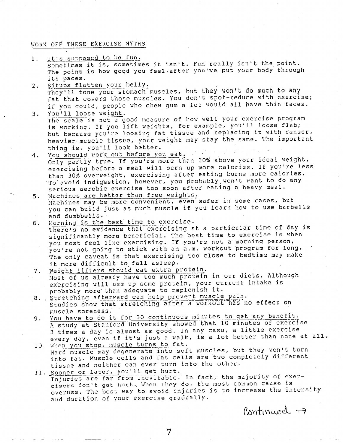## WORK OFF THESE EXERCISE MYTHS

1. It's supposed to be fun.

Sometimes it is, sometimes it isn't. Fun really isn't the point. The point is how good you feel after you've put your body through its paces.

- 2. Situps flatten your belly. They'll tone your stomach muscles, but they won't do much to any fat that covers those muscles. You don't spot-reduce with exercise; if you could, people who chew gum a lot would all have thin faces. 3. You'll loose weight.
	- The scale is not a good measure of how well your exercise program is working. If you lift weights, for example, you'll loose flab; but because you're loosing fat tissue and replacing it with denser, heavier muscle tissue, your weight may stay the same. The important thing is, you'll look better.
- *4.* You should work out before you eat. Only partly true. If you're more than 30% above your ideal weight, exercising before a meal will burn up more calories. If you're less than 30% overweight, exercising after eating burns more calories. To avoid indigestion, however, you probably won't want to do any serious aerobic exercise too soon after eating a heavy meal.
- 5. Machines are better than free weights. Machines may be more convenient, even safer in some cases, but you can build just as much muscle if you learn how to use barbells and dumbbells.
- 6. Morning is the best time to exercise; There's no evidence that exercising at a particular time of day is significantly more beneficial. The best time to exercise is when you most feel like exercising. If you're not a morning person, you're not going to stick with an a.m. workout program for long. The only caveat is that exercising too close to bedtime may make it more difficult to fall asleep.
- 7. Weight lifters should eat extra protein. Most of us already have too much protein in our diets. Although exercising will use up some protein, your current intake is probably more· than adequate to replenish it.
- 8. Stretching afterward can help prevent muscle pain. Studies show that stretching after a workout has no effect on muscle soreness.
- 9. You have to do it for 30 continuous minutes to get any benefit. <sup>A</sup>study at Stanford University showed that 10 minutes of exercise 3 times a day is almost as good. In any case, a little exercise every day, even if it's just a walk, is a lot better than none at all.
- 10. When you stop, muscle turns to fat. Hard muscle may degenerate into soft muscles, but they won't turn into fat. Muscle cells and fat cells are two completely different tissue and neither can ever turn into the other.
- 11. Sooner or later, you'll get hurt. Injuries are far from inevitable. In fact, the majority of exercisers don't get hurt. When they do, the most common cause is overuse. The best way to avoid injuries is to increase the intensity and duration of your exercise gradually.

 $P_{\text{antinued}} \rightarrow$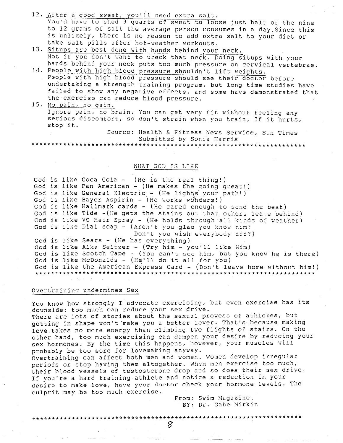- 12. After a good sweat, you'll need extra salt. You'd have to shed 3 quarts of sweat to loose just half of the nine to 12 grams of salt the average person consumes in a day. Since this is unlikely, there is no reason to add extra salt to your diet or take salt pills after hot-weather workouts.
- 13. Situps are best done with hands behind your neck. Not if you don't want to wreck that neck. Doing situps with your hands behind your neck puts too much pressure on cervical vertebrae.
- 14. People with high blood pressure shouldn't lift weights. People with high blood pressure should see their doctor before undertaking a strength training program, but long time studies have failed to show any negative effects, and some have demonstrated that the exercise can reduce blood pressure.
- 15. No pain, no gain. Ignore pain, no brain. You can get very fit without feeling any serious discomfort, so don't strain when you train, If it hurts, stop it.

Source: Health & Fitness News Service, Sun Times Submitted by Sonia Harris

### WHAT GOD IS LIKE

God is like Coca Cola - (He is the real thing!) God is like Pan American - (He makes the going great!) God is like General Electric - (He lights your path!) God is like Bayer Aspirin - (He works wonders!) God is like Hallmark cards - (He cared enough to send the best) God is like Tide - (He gets the stains out that others leave behind) God is like VO Hair Spray - (He holds through all kinds of weather) God is like Dial soap - (Aren't you glad you know him? Don't you wish everybody did?) God is like Sears - (He has everything) God is like Alka Seltzer - (Try him - you'll like Him) God is like Scotch Tape - (You can't see him, but you know he is there) God is like McDonalds - (He'll do it all for you) God is like the American Express Card - (Don't leave home without him!) 

Overtraining undermines Sex

You know how strongly I advocate exercising, but even exercise has its downside: too much can reduce your sex drive.

There are lots of stories about the sexual prowess of athletes, but getting in shape won't make you a better lover. That's because making love takes no more energy than climbing two flights of stairs. On the other hand, too much exercising can dampen your desire by reducing your sex hormones. By the time this happens, however, your muscles will probably be too sore for lovemaking anyway.

Overtraining can affect both men and women. Women develop irregular periods or stop having them altogether. When men exercise too much, their blood vessels of testosterone drop and so does their sex drive. If you're a hard training athlete and notice a reduction in your desire to make love, have your doctor check your hormone levels. The culprit may be too much exercise.

From: Swim Magazine. BY: Dr. Gabe Mirkin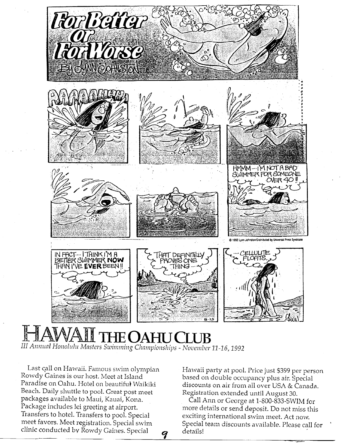

# $\textrm{EOAHUC}$ *III Annual Ho11olulu Masters S·wimming Clzmnpionships* - *November 11-16,* <sup>1992</sup>

9

Last call on Hawaii. Famous swim olympian Rowdy Gaines is our host. Meet at Island Paradise on Oahu. Hotel on beautiful Waikiki Beach. Daily shuttle to pool. Great post meet packages available to Maui, Kauai, Kona. Package includes lei greeting at airport. Transfers to hotel. Transfers to pool. Special meet favors. Meet registration. Special swim clinic conducted by Rowdy Gaines. Special

Hawaii party at pool. Price just \$399 per person based on double occupancy plus air. Special discounts on air from all over USA & Canada. Registration extended until August 30.

Call Ann or George at 1-800-833-SV\IIM for more details or send deposit. Do not miss this exciting international swim meet. Act now. Special team discounts available. Please *call* for ' details!